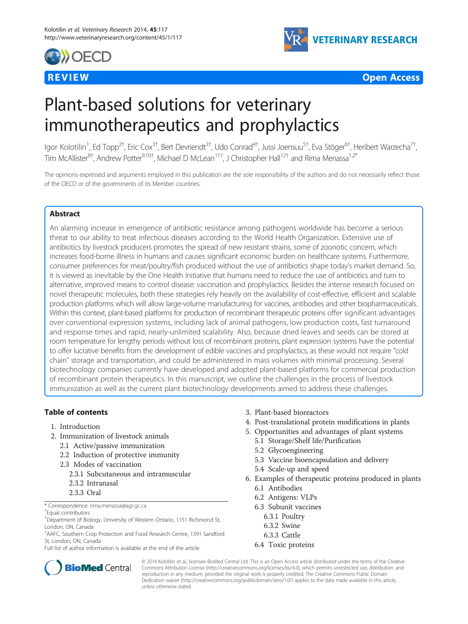





# Plant-based solutions for veterinary immunotherapeutics and prophylactics

lgor Kolotilin<sup>1</sup>, Ed Topp<sup>2†</sup>, Eric Cox<sup>3†</sup>, Bert Devriendt<sup>3†</sup>, Udo Conrad<sup>4†</sup>, Jussi Joensuu<sup>5†</sup>, Eva Stöger<sup>6†</sup>, Heribert Warzecha<sup>7†</sup> , Tim McAllister<sup>8†</sup>, Andrew Potter<sup>9,10†</sup>, Michael D McLean<sup>11†</sup>, J Christopher Hall<sup>12†</sup> and Rima Menassa<sup>1,2\*</sup>

The opinions expressed and arguments employed in this publication are the sole responsibility of the authors and do not necessarily reflect those of the OECD or of the governments of its Member countries.

#### Abstract

An alarming increase in emergence of antibiotic resistance among pathogens worldwide has become a serious threat to our ability to treat infectious diseases according to the World Health Organization. Extensive use of antibiotics by livestock producers promotes the spread of new resistant strains, some of zoonotic concern, which increases food-borne illness in humans and causes significant economic burden on healthcare systems. Furthermore, consumer preferences for meat/poultry/fish produced without the use of antibiotics shape today's market demand. So, it is viewed as inevitable by the One Health Initiative that humans need to reduce the use of antibiotics and turn to alternative, improved means to control disease: vaccination and prophylactics. Besides the intense research focused on novel therapeutic molecules, both these strategies rely heavily on the availability of cost-effective, efficient and scalable production platforms which will allow large-volume manufacturing for vaccines, antibodies and other biopharmaceuticals. Within this context, plant-based platforms for production of recombinant therapeutic proteins offer significant advantages over conventional expression systems, including lack of animal pathogens, low production costs, fast turnaround and response times and rapid, nearly-unlimited scalability. Also, because dried leaves and seeds can be stored at room temperature for lengthy periods without loss of recombinant proteins, plant expression systems have the potential to offer lucrative benefits from the development of edible vaccines and prophylactics, as these would not require "cold chain" storage and transportation, and could be administered in mass volumes with minimal processing. Several biotechnology companies currently have developed and adopted plant-based platforms for commercial production of recombinant protein therapeutics. In this manuscript, we outline the challenges in the process of livestock immunization as well as the current plant biotechnology developments aimed to address these challenges.

#### Table of contents

- 1. Introduction
- 2. Immunization of livestock animals
	- 2.1 Active/passive immunization
	- 2.2 Induction of protective immunity
	- 2.3 Modes of vaccination
		- 2.3.1 Subcutaneous and intramuscular
		- 2.3.2 Intranasal
	- 2.3.3 Oral

\* Correspondence: [rima.menassa@agr.gc.ca](mailto:rima.menassa@agr.gc.ca) †

#### Equal contributors

<sup>1</sup>Department of Biology, University of Western Ontario, 1151 Richmond St, London, ON, Canada

<sup>2</sup>AAFC, Southern Crop Protection and Food Research Centre, 1391 Sandford St, London, ON, Canada

Full list of author information is available at the end of the article

- 3. Plant-based bioreactors
- 4. Post-translational protein modifications in plants
- 5. Opportunities and advantages of plant systems
	- 5.1 Storage/Shelf life/Purification
	- 5.2 Glycoengineering
	- 5.3 Vaccine bioencapsulation and delivery
	- 5.4 Scale-up and speed
- 6. Examples of therapeutic proteins produced in plants 6.1 Antibodies
	-
	- 6.2 Antigens: VLPs
	- 6.3 Subunit vaccines
		- 6.3.1 Poultry
		- 6.3.2 Swine
	- 6.3.3 Cattle
	- 6.4 Toxic proteins



© 2014 Kolotilin et al.; licensee BioMed Central Ltd. This is an Open Access article distributed under the terms of the Creative Commons Attribution License [\(http://creativecommons.org/licenses/by/4.0\)](http://creativecommons.org/licenses/by/4.0), which permits unrestricted use, distribution, and reproduction in any medium, provided the original work is properly credited. The Creative Commons Public Domain Dedication waiver [\(http://creativecommons.org/publicdomain/zero/1.0/](http://creativecommons.org/publicdomain/zero/1.0/)) applies to the data made available in this article, unless otherwise stated.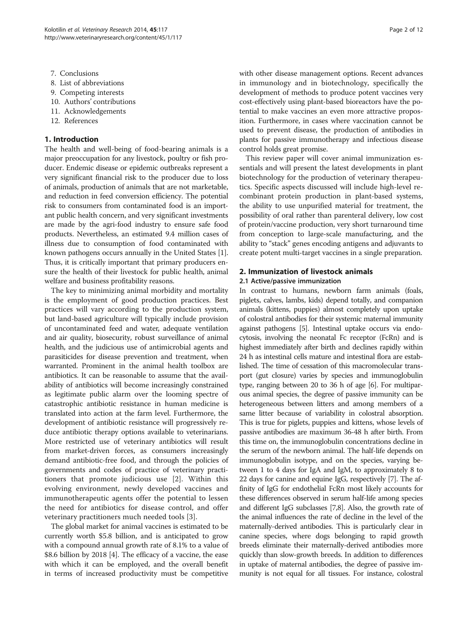- 7. Conclusions
- 8. List of abbreviations
- 9. Competing interests
- 10. Authors' contributions
- 11. Acknowledgements
- 12. References

#### 1. Introduction

The health and well-being of food-bearing animals is a major preoccupation for any livestock, poultry or fish producer. Endemic disease or epidemic outbreaks represent a very significant financial risk to the producer due to loss of animals, production of animals that are not marketable, and reduction in feed conversion efficiency. The potential risk to consumers from contaminated food is an important public health concern, and very significant investments are made by the agri-food industry to ensure safe food products. Nevertheless, an estimated 9.4 million cases of illness due to consumption of food contaminated with known pathogens occurs annually in the United States [[1](#page-9-0)]. Thus, it is critically important that primary producers ensure the health of their livestock for public health, animal welfare and business profitability reasons.

The key to minimizing animal morbidity and mortality is the employment of good production practices. Best practices will vary according to the production system, but land-based agriculture will typically include provision of uncontaminated feed and water, adequate ventilation and air quality, biosecurity, robust surveillance of animal health, and the judicious use of antimicrobial agents and parasiticides for disease prevention and treatment, when warranted. Prominent in the animal health toolbox are antibiotics. It can be reasonable to assume that the availability of antibiotics will become increasingly constrained as legitimate public alarm over the looming spectre of catastrophic antibiotic resistance in human medicine is translated into action at the farm level. Furthermore, the development of antibiotic resistance will progressively reduce antibiotic therapy options available to veterinarians. More restricted use of veterinary antibiotics will result from market-driven forces, as consumers increasingly demand antibiotic-free food, and through the policies of governments and codes of practice of veterinary practitioners that promote judicious use [[2\]](#page-9-0). Within this evolving environment, newly developed vaccines and immunotherapeutic agents offer the potential to lessen the need for antibiotics for disease control, and offer veterinary practitioners much needed tools [[3\]](#page-9-0).

The global market for animal vaccines is estimated to be currently worth \$5.8 billion, and is anticipated to grow with a compound annual growth rate of 8.1% to a value of \$8.6 billion by 2018 [[4\]](#page-9-0). The efficacy of a vaccine, the ease with which it can be employed, and the overall benefit in terms of increased productivity must be competitive

with other disease management options. Recent advances in immunology and in biotechnology, specifically the development of methods to produce potent vaccines very cost-effectively using plant-based bioreactors have the potential to make vaccines an even more attractive proposition. Furthermore, in cases where vaccination cannot be used to prevent disease, the production of antibodies in plants for passive immunotherapy and infectious disease control holds great promise.

This review paper will cover animal immunization essentials and will present the latest developments in plant biotechnology for the production of veterinary therapeutics. Specific aspects discussed will include high-level recombinant protein production in plant-based systems, the ability to use unpurified material for treatment, the possibility of oral rather than parenteral delivery, low cost of protein/vaccine production, very short turnaround time from conception to large-scale manufacturing, and the ability to "stack" genes encoding antigens and adjuvants to create potent multi-target vaccines in a single preparation.

#### 2. Immunization of livestock animals

#### 2.1 Active/passive immunization

In contrast to humans, newborn farm animals (foals, piglets, calves, lambs, kids) depend totally, and companion animals (kittens, puppies) almost completely upon uptake of colostral antibodies for their systemic maternal immunity against pathogens [\[5\]](#page-9-0). Intestinal uptake occurs via endocytosis, involving the neonatal Fc receptor (FcRn) and is highest immediately after birth and declines rapidly within 24 h as intestinal cells mature and intestinal flora are established. The time of cessation of this macromolecular transport (gut closure) varies by species and immunoglobulin type, ranging between 20 to 36 h of age [[6](#page-9-0)]. For multiparous animal species, the degree of passive immunity can be heterogeneous between litters and among members of a same litter because of variability in colostral absorption. This is true for piglets, puppies and kittens, whose levels of passive antibodies are maximum 36-48 h after birth. From this time on, the immunoglobulin concentrations decline in the serum of the newborn animal. The half-life depends on immunoglobulin isotype, and on the species, varying between 1 to 4 days for IgA and IgM, to approximately 8 to 22 days for canine and equine IgG, respectively [\[7\]](#page-9-0). The affinity of IgG for endothelial FcRn most likely accounts for these differences observed in serum half-life among species and different IgG subclasses [\[7,8](#page-9-0)]. Also, the growth rate of the animal influences the rate of decline in the level of the maternally-derived antibodies. This is particularly clear in canine species, where dogs belonging to rapid growth breeds eliminate their maternally-derived antibodies more quickly than slow-growth breeds. In addition to differences in uptake of maternal antibodies, the degree of passive immunity is not equal for all tissues. For instance, colostral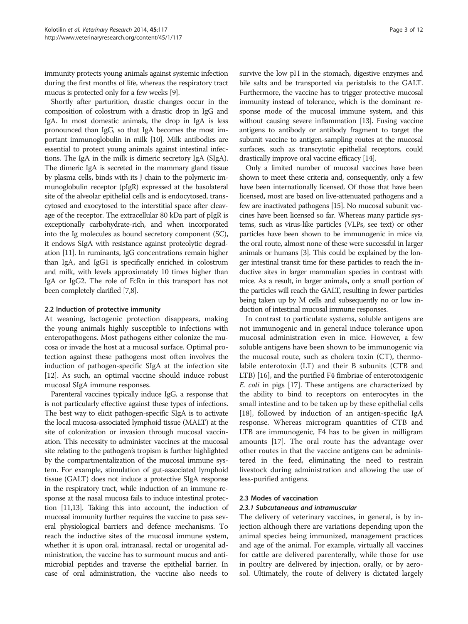immunity protects young animals against systemic infection during the first months of life, whereas the respiratory tract mucus is protected only for a few weeks [\[9\]](#page-9-0).

Shortly after parturition, drastic changes occur in the composition of colostrum with a drastic drop in IgG and IgA. In most domestic animals, the drop in IgA is less pronounced than IgG, so that IgA becomes the most important immunoglobulin in milk [\[10\]](#page-9-0). Milk antibodies are essential to protect young animals against intestinal infections. The IgA in the milk is dimeric secretory IgA (SIgA). The dimeric IgA is secreted in the mammary gland tissue by plasma cells, binds with its J chain to the polymeric immunoglobulin receptor (pIgR) expressed at the basolateral site of the alveolar epithelial cells and is endocytosed, transcytosed and exocytosed to the interstitial space after cleavage of the receptor. The extracellular 80 kDa part of pIgR is exceptionally carbohydrate-rich, and when incorporated into the Ig molecules as bound secretory component (SC), it endows SIgA with resistance against proteolytic degradation [\[11\]](#page-9-0). In ruminants, IgG concentrations remain higher than IgA, and IgG1 is specifically enriched in colostrum and milk, with levels approximately 10 times higher than IgA or IgG2. The role of FcRn in this transport has not been completely clarified [[7,8\]](#page-9-0).

#### 2.2 Induction of protective immunity

At weaning, lactogenic protection disappears, making the young animals highly susceptible to infections with enteropathogens. Most pathogens either colonize the mucosa or invade the host at a mucosal surface. Optimal protection against these pathogens most often involves the induction of pathogen-specific SIgA at the infection site [[12](#page-9-0)]. As such, an optimal vaccine should induce robust mucosal SIgA immune responses.

Parenteral vaccines typically induce IgG, a response that is not particularly effective against these types of infections. The best way to elicit pathogen-specific SIgA is to activate the local mucosa-associated lymphoid tissue (MALT) at the site of colonization or invasion through mucosal vaccination. This necessity to administer vaccines at the mucosal site relating to the pathogen's tropism is further highlighted by the compartmentalization of the mucosal immune system. For example, stimulation of gut-associated lymphoid tissue (GALT) does not induce a protective SIgA response in the respiratory tract, while induction of an immune response at the nasal mucosa fails to induce intestinal protection [[11,13](#page-9-0)]. Taking this into account, the induction of mucosal immunity further requires the vaccine to pass several physiological barriers and defence mechanisms. To reach the inductive sites of the mucosal immune system, whether it is upon oral, intranasal, rectal or urogenital administration, the vaccine has to surmount mucus and antimicrobial peptides and traverse the epithelial barrier. In case of oral administration, the vaccine also needs to survive the low pH in the stomach, digestive enzymes and bile salts and be transported via peristalsis to the GALT. Furthermore, the vaccine has to trigger protective mucosal immunity instead of tolerance, which is the dominant response mode of the mucosal immune system, and this without causing severe inflammation [\[13](#page-9-0)]. Fusing vaccine antigens to antibody or antibody fragment to target the subunit vaccine to antigen-sampling routes at the mucosal surfaces, such as transcytotic epithelial receptors, could drastically improve oral vaccine efficacy [[14](#page-9-0)].

Only a limited number of mucosal vaccines have been shown to meet these criteria and, consequently, only a few have been internationally licensed. Of those that have been licensed, most are based on live-attenuated pathogens and a few are inactivated pathogens [\[15\]](#page-9-0). No mucosal subunit vaccines have been licensed so far. Whereas many particle systems, such as virus-like particles (VLPs, see text) or other particles have been shown to be immunogenic in mice via the oral route, almost none of these were successful in larger animals or humans [\[3\]](#page-9-0). This could be explained by the longer intestinal transit time for these particles to reach the inductive sites in larger mammalian species in contrast with mice. As a result, in larger animals, only a small portion of the particles will reach the GALT, resulting in fewer particles being taken up by M cells and subsequently no or low induction of intestinal mucosal immune responses.

In contrast to particulate systems, soluble antigens are not immunogenic and in general induce tolerance upon mucosal administration even in mice. However, a few soluble antigens have been shown to be immunogenic via the mucosal route, such as cholera toxin (CT), thermolabile enterotoxin (LT) and their B subunits (CTB and LTB) [[16](#page-9-0)], and the purified F4 fimbriae of enterotoxigenic E. coli in pigs [[17](#page-9-0)]. These antigens are characterized by the ability to bind to receptors on enterocytes in the small intestine and to be taken up by these epithelial cells [[18\]](#page-9-0), followed by induction of an antigen-specific IgA response. Whereas microgram quantities of CTB and LTB are immunogenic, F4 has to be given in milligram amounts [[17](#page-9-0)]. The oral route has the advantage over other routes in that the vaccine antigens can be administered in the feed, eliminating the need to restrain livestock during administration and allowing the use of less-purified antigens.

#### 2.3 Modes of vaccination

#### 2.3.1 Subcutaneous and intramuscular

The delivery of veterinary vaccines, in general, is by injection although there are variations depending upon the animal species being immunized, management practices and age of the animal. For example, virtually all vaccines for cattle are delivered parenterally, while those for use in poultry are delivered by injection, orally, or by aerosol. Ultimately, the route of delivery is dictated largely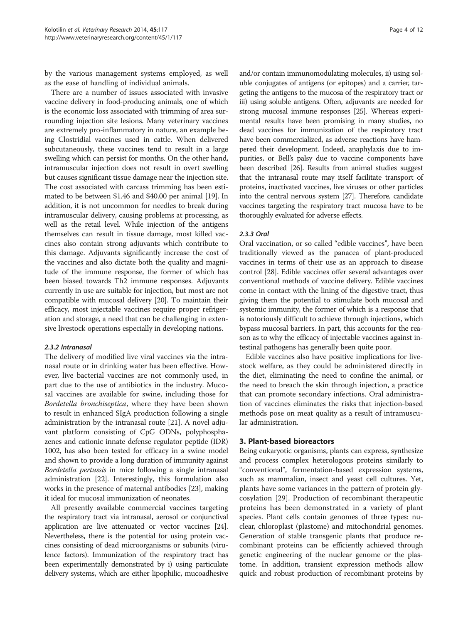by the various management systems employed, as well as the ease of handling of individual animals.

There are a number of issues associated with invasive vaccine delivery in food-producing animals, one of which is the economic loss associated with trimming of area surrounding injection site lesions. Many veterinary vaccines are extremely pro-inflammatory in nature, an example being Clostridial vaccines used in cattle. When delivered subcutaneously, these vaccines tend to result in a large swelling which can persist for months. On the other hand, intramuscular injection does not result in overt swelling but causes significant tissue damage near the injection site. The cost associated with carcass trimming has been estimated to be between \$1.46 and \$40.00 per animal [\[19\]](#page-9-0). In addition, it is not uncommon for needles to break during intramuscular delivery, causing problems at processing, as well as the retail level. While injection of the antigens themselves can result in tissue damage, most killed vaccines also contain strong adjuvants which contribute to this damage. Adjuvants significantly increase the cost of the vaccines and also dictate both the quality and magnitude of the immune response, the former of which has been biased towards Th2 immune responses. Adjuvants currently in use are suitable for injection, but most are not compatible with mucosal delivery [[20](#page-9-0)]. To maintain their efficacy, most injectable vaccines require proper refrigeration and storage, a need that can be challenging in extensive livestock operations especially in developing nations.

#### 2.3.2 Intranasal

The delivery of modified live viral vaccines via the intranasal route or in drinking water has been effective. However, live bacterial vaccines are not commonly used, in part due to the use of antibiotics in the industry. Mucosal vaccines are available for swine, including those for Bordetella bronchiseptica, where they have been shown to result in enhanced SIgA production following a single administration by the intranasal route [[21](#page-9-0)]. A novel adjuvant platform consisting of CpG ODNs, polyphosphazenes and cationic innate defense regulator peptide (IDR) 1002, has also been tested for efficacy in a swine model and shown to provide a long duration of immunity against Bordetella pertussis in mice following a single intranasal administration [[22](#page-9-0)]. Interestingly, this formulation also works in the presence of maternal antibodies [\[23\]](#page-9-0), making it ideal for mucosal immunization of neonates.

All presently available commercial vaccines targeting the respiratory tract via intranasal, aerosol or conjunctival application are live attenuated or vector vaccines [\[24](#page-10-0)]. Nevertheless, there is the potential for using protein vaccines consisting of dead microorganisms or subunits (virulence factors). Immunization of the respiratory tract has been experimentally demonstrated by i) using particulate delivery systems, which are either lipophilic, mucoadhesive

and/or contain immunomodulating molecules, ii) using soluble conjugates of antigens (or epitopes) and a carrier, targeting the antigens to the mucosa of the respiratory tract or iii) using soluble antigens. Often, adjuvants are needed for strong mucosal immune responses [\[25\]](#page-10-0). Whereas experimental results have been promising in many studies, no dead vaccines for immunization of the respiratory tract have been commercialized, as adverse reactions have hampered their development. Indeed, anaphylaxis due to impurities, or Bell's palsy due to vaccine components have been described [\[26\]](#page-10-0). Results from animal studies suggest that the intranasal route may itself facilitate transport of proteins, inactivated vaccines, live viruses or other particles into the central nervous system [[27\]](#page-10-0). Therefore, candidate vaccines targeting the respiratory tract mucosa have to be thoroughly evaluated for adverse effects.

#### 2.3.3 Oral

Oral vaccination, or so called "edible vaccines", have been traditionally viewed as the panacea of plant-produced vaccines in terms of their use as an approach to disease control [[28](#page-10-0)]. Edible vaccines offer several advantages over conventional methods of vaccine delivery. Edible vaccines come in contact with the lining of the digestive tract, thus giving them the potential to stimulate both mucosal and systemic immunity, the former of which is a response that is notoriously difficult to achieve through injections, which bypass mucosal barriers. In part, this accounts for the reason as to why the efficacy of injectable vaccines against intestinal pathogens has generally been quite poor.

Edible vaccines also have positive implications for livestock welfare, as they could be administered directly in the diet, eliminating the need to confine the animal, or the need to breach the skin through injection, a practice that can promote secondary infections. Oral administration of vaccines eliminates the risks that injection-based methods pose on meat quality as a result of intramuscular administration.

#### 3. Plant-based bioreactors

Being eukaryotic organisms, plants can express, synthesize and process complex heterologous proteins similarly to "conventional", fermentation-based expression systems, such as mammalian, insect and yeast cell cultures. Yet, plants have some variances in the pattern of protein glycosylation [[29\]](#page-10-0). Production of recombinant therapeutic proteins has been demonstrated in a variety of plant species. Plant cells contain genomes of three types: nuclear, chloroplast (plastome) and mitochondrial genomes. Generation of stable transgenic plants that produce recombinant proteins can be efficiently achieved through genetic engineering of the nuclear genome or the plastome. In addition, transient expression methods allow quick and robust production of recombinant proteins by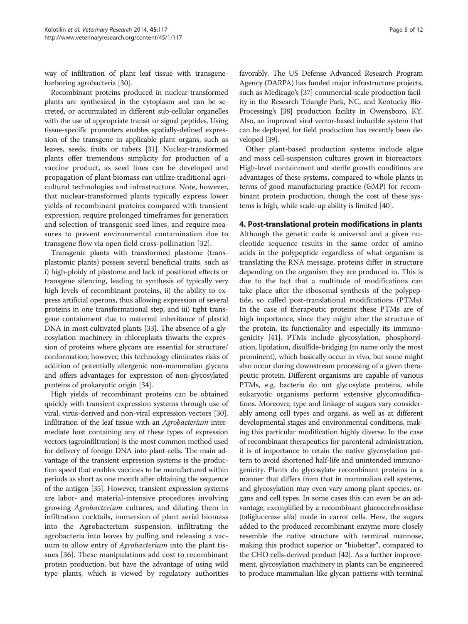way of infiltration of plant leaf tissue with transgeneharboring agrobacteria [\[30\]](#page-10-0).

Recombinant proteins produced in nuclear-transformed plants are synthesized in the cytoplasm and can be secreted, or accumulated in different sub-cellular organelles with the use of appropriate transit or signal peptides. Using tissue-specific promoters enables spatially-defined expression of the transgene in applicable plant organs, such as leaves, seeds, fruits or tubers [\[31](#page-10-0)]. Nuclear-transformed plants offer tremendous simplicity for production of a vaccine product, as seed lines can be developed and propagation of plant biomass can utilize traditional agricultural technologies and infrastructure. Note, however, that nuclear-transformed plants typically express lower yields of recombinant proteins compared with transient expression, require prolonged timeframes for generation and selection of transgenic seed lines, and require measures to prevent environmental contamination due to transgene flow via open field cross-pollination [[32](#page-10-0)].

Transgenic plants with transformed plastome (transplastomic plants) possess several beneficial traits, such as i) high-ploidy of plastome and lack of positional effects or transgene silencing, leading to synthesis of typically very high levels of recombinant proteins, ii) the ability to express artificial operons, thus allowing expression of several proteins in one transformational step, and iii) tight transgene containment due to maternal inheritance of plastid DNA in most cultivated plants [[33](#page-10-0)]. The absence of a glycosylation machinery in chloroplasts thwarts the expression of proteins where glycans are essential for structure/ conformation; however, this technology eliminates risks of addition of potentially allergenic non-mammalian glycans and offers advantages for expression of non-glycosylated proteins of prokaryotic origin [[34\]](#page-10-0).

High yields of recombinant proteins can be obtained quickly with transient expression systems through use of viral, virus-derived and non-viral expression vectors [\[30](#page-10-0)]. Infiltration of the leaf tissue with an Agrobacterium intermediate host containing any of these types of expression vectors (agroinfiltration) is the most common method used for delivery of foreign DNA into plant cells. The main advantage of the transient expression systems is the production speed that enables vaccines to be manufactured within periods as short as one month after obtaining the sequence of the antigen [\[35](#page-10-0)]. However, transient expression systems are labor- and material-intensive procedures involving growing Agrobacterium cultures, and diluting them in infiltration cocktails, immersion of plant aerial biomass into the Agrobacterium suspension, infiltrating the agrobacteria into leaves by pulling and releasing a vacuum to allow entry of Agrobacterium into the plant tissues [[36](#page-10-0)]. These manipulations add cost to recombinant protein production, but have the advantage of using wild type plants, which is viewed by regulatory authorities

favorably. The US Defense Advanced Research Program Agency (DARPA) has funded major infrastructure projects, such as Medicago's [[37](#page-10-0)] commercial-scale production facility in the Research Triangle Park, NC, and Kentucky Bio-Processing's [\[38](#page-10-0)] production facility in Owensboro, KY. Also, an improved viral vector-based inducible system that can be deployed for field production has recently been developed [[39](#page-10-0)].

Other plant-based production systems include algae and moss cell-suspension cultures grown in bioreactors. High-level containment and sterile growth conditions are advantages of these systems, compared to whole plants in terms of good manufacturing practice (GMP) for recombinant protein production, though the cost of these systems is high, while scale-up ability is limited [\[40\]](#page-10-0).

#### 4. Post-translational protein modifications in plants

Although the genetic code is universal and a given nucleotide sequence results in the same order of amino acids in the polypeptide regardless of what organism is translating the RNA message, proteins differ in structure depending on the organism they are produced in. This is due to the fact that a multitude of modifications can take place after the ribosomal synthesis of the polypeptide, so called post-translational modifications (PTMs). In the case of therapeutic proteins these PTMs are of high importance, since they might alter the structure of the protein, its functionality and especially its immunogenicity [[41](#page-10-0)]. PTMs include glycosylation, phosphorylation, lipidation, disulfide-bridging (to name only the most prominent), which basically occur in vivo, but some might also occur during downstream processing of a given therapeutic protein. Different organisms are capable of various PTMs, e.g. bacteria do not glycosylate proteins, while eukaryotic organisms perform extensive glycomodifications. Moreover, type and linkage of sugars vary considerably among cell types and organs, as well as at different developmental stages and environmental conditions, making this particular modification highly diverse. In the case of recombinant therapeutics for parenteral administration, it is of importance to retain the native glycosylation pattern to avoid shortened half-life and unintended immunogenicity. Plants do glycosylate recombinant proteins in a manner that differs from that in mammalian cell systems, and glycosylation may even vary among plant species, organs and cell types. In some cases this can even be an advantage, exemplified by a recombinant glucocerebrosidase (taliglucerase alfa) made in carrot cells. Here, the sugars added to the produced recombinant enzyme more closely resemble the native structure with terminal mannose, making this product superior or "biobetter", compared to the CHO cells-derived product [\[42\]](#page-10-0). As a further improvement, glycosylation machinery in plants can be engineered to produce mammalian-like glycan patterns with terminal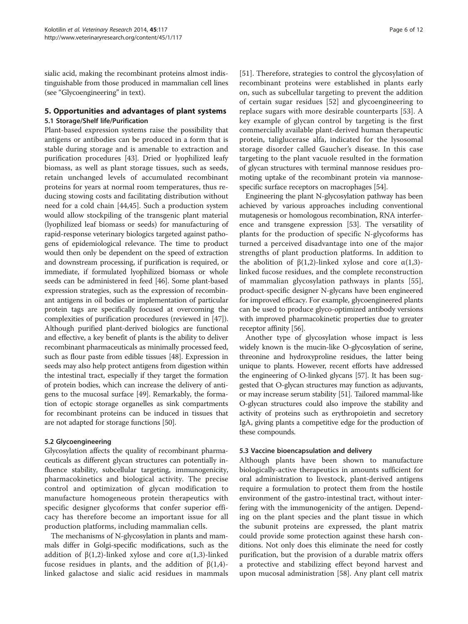sialic acid, making the recombinant proteins almost indistinguishable from those produced in mammalian cell lines (see "Glycoengineering" in text).

#### 5. Opportunities and advantages of plant systems 5.1 Storage/Shelf life/Purification

Plant-based expression systems raise the possibility that antigens or antibodies can be produced in a form that is stable during storage and is amenable to extraction and purification procedures [[43\]](#page-10-0). Dried or lyophilized leafy biomass, as well as plant storage tissues, such as seeds, retain unchanged levels of accumulated recombinant proteins for years at normal room temperatures, thus reducing stowing costs and facilitating distribution without need for a cold chain [\[44,45\]](#page-10-0). Such a production system would allow stockpiling of the transgenic plant material (lyophilized leaf biomass or seeds) for manufacturing of rapid-response veterinary biologics targeted against pathogens of epidemiological relevance. The time to product would then only be dependent on the speed of extraction and downstream processing, if purification is required, or immediate, if formulated lyophilized biomass or whole seeds can be administered in feed [[46](#page-10-0)]. Some plant-based expression strategies, such as the expression of recombinant antigens in oil bodies or implementation of particular protein tags are specifically focused at overcoming the complexities of purification procedures (reviewed in [[47](#page-10-0)]). Although purified plant-derived biologics are functional and effective, a key benefit of plants is the ability to deliver recombinant pharmaceuticals as minimally processed feed, such as flour paste from edible tissues [\[48\]](#page-10-0). Expression in seeds may also help protect antigens from digestion within the intestinal tract, especially if they target the formation of protein bodies, which can increase the delivery of antigens to the mucosal surface [[49](#page-10-0)]. Remarkably, the formation of ectopic storage organelles as sink compartments for recombinant proteins can be induced in tissues that are not adapted for storage functions [[50](#page-10-0)].

#### 5.2 Glycoengineering

Glycosylation affects the quality of recombinant pharmaceuticals as different glycan structures can potentially influence stability, subcellular targeting, immunogenicity, pharmacokinetics and biological activity. The precise control and optimization of glycan modification to manufacture homogeneous protein therapeutics with specific designer glycoforms that confer superior efficacy has therefore become an important issue for all production platforms, including mammalian cells.

The mechanisms of N-glycosylation in plants and mammals differ in Golgi-specific modifications, such as the addition of  $β(1,2)$ -linked xylose and core α(1,3)-linked fucose residues in plants, and the addition of β(1,4) linked galactose and sialic acid residues in mammals [[51](#page-10-0)]. Therefore, strategies to control the glycosylation of recombinant proteins were established in plants early on, such as subcellular targeting to prevent the addition of certain sugar residues [\[52](#page-10-0)] and glycoengineering to replace sugars with more desirable counterparts [[53\]](#page-10-0). A key example of glycan control by targeting is the first commercially available plant-derived human therapeutic protein, taliglucerase alfa, indicated for the lysosomal storage disorder called Gaucher's disease. In this case targeting to the plant vacuole resulted in the formation of glycan structures with terminal mannose residues promoting uptake of the recombinant protein via mannosespecific surface receptors on macrophages [[54\]](#page-10-0).

Engineering the plant N-glycosylation pathway has been achieved by various approaches including conventional mutagenesis or homologous recombination, RNA interference and transgene expression [[53](#page-10-0)]. The versatility of plants for the production of specific N-glycoforms has turned a perceived disadvantage into one of the major strengths of plant production platforms. In addition to the abolition of  $β(1,2)$ -linked xylose and core  $α(1,3)$ linked fucose residues, and the complete reconstruction of mammalian glycosylation pathways in plants [\[55](#page-10-0)], product-specific designer N-glycans have been engineered for improved efficacy. For example, glycoengineered plants can be used to produce glyco-optimized antibody versions with improved pharmacokinetic properties due to greater receptor affinity [[56](#page-10-0)].

Another type of glycosylation whose impact is less widely known is the mucin-like O-glycosylation of serine, threonine and hydroxyproline residues, the latter being unique to plants. However, recent efforts have addressed the engineering of O-linked glycans [\[57\]](#page-10-0). It has been suggested that O-glycan structures may function as adjuvants, or may increase serum stability [[51](#page-10-0)]. Tailored mammal-like O-glycan structures could also improve the stability and activity of proteins such as erythropoietin and secretory IgA, giving plants a competitive edge for the production of these compounds.

#### 5.3 Vaccine bioencapsulation and delivery

Although plants have been shown to manufacture biologically-active therapeutics in amounts sufficient for oral administration to livestock, plant-derived antigens require a formulation to protect them from the hostile environment of the gastro-intestinal tract, without interfering with the immunogenicity of the antigen. Depending on the plant species and the plant tissue in which the subunit proteins are expressed, the plant matrix could provide some protection against these harsh conditions. Not only does this eliminate the need for costly purification, but the provision of a durable matrix offers a protective and stabilizing effect beyond harvest and upon mucosal administration [\[58\]](#page-10-0). Any plant cell matrix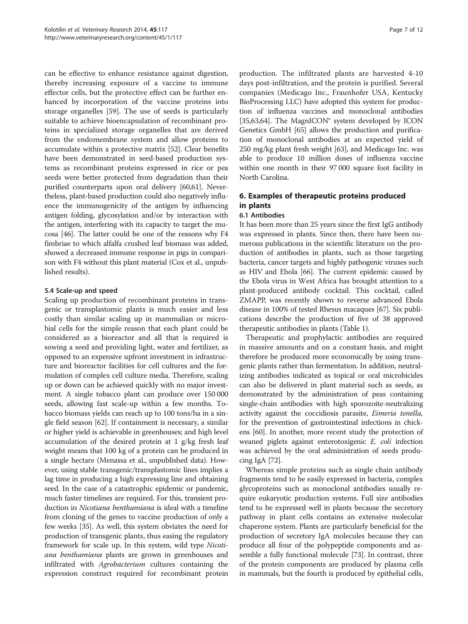can be effective to enhance resistance against digestion, thereby increasing exposure of a vaccine to immune effector cells, but the protective effect can be further enhanced by incorporation of the vaccine proteins into storage organelles [\[59](#page-10-0)]. The use of seeds is particularly suitable to achieve bioencapsulation of recombinant proteins in specialized storage organelles that are derived from the endomembrane system and allow proteins to accumulate within a protective matrix [\[52\]](#page-10-0). Clear benefits have been demonstrated in seed-based production systems as recombinant proteins expressed in rice or pea seeds were better protected from degradation than their purified counterparts upon oral delivery [\[60,61](#page-10-0)]. Nevertheless, plant-based production could also negatively influence the immunogenicity of the antigen by influencing antigen folding, glycosylation and/or by interaction with the antigen, interfering with its capacity to target the mucosa [[46](#page-10-0)]. The latter could be one of the reasons why F4 fimbriae to which alfalfa crushed leaf biomass was added, showed a decreased immune response in pigs in comparison with F4 without this plant material (Cox et al., unpublished results).

#### 5.4 Scale-up and speed

Scaling up production of recombinant proteins in transgenic or transplastomic plants is much easier and less costly than similar scaling up in mammalian or microbial cells for the simple reason that each plant could be considered as a bioreactor and all that is required is sowing a seed and providing light, water and fertilizer, as opposed to an expensive upfront investment in infrastructure and bioreactor facilities for cell cultures and the formulation of complex cell culture media. Therefore, scaling up or down can be achieved quickly with no major investment. A single tobacco plant can produce over 150 000 seeds, allowing fast scale-up within a few months. Tobacco biomass yields can reach up to 100 tons/ha in a single field season [[62](#page-10-0)]. If containment is necessary, a similar or higher yield is achievable in greenhouses; and high level accumulation of the desired protein at 1 g/kg fresh leaf weight means that 100 kg of a protein can be produced in a single hectare (Menassa et al., unpublished data). However, using stable transgenic/transplastomic lines implies a lag time in producing a high expressing line and obtaining seed. In the case of a catastrophic epidemic or pandemic, much faster timelines are required. For this, transient production in Nicotiana benthamiana is ideal with a timeline from cloning of the genes to vaccine production of only a few weeks [\[35\]](#page-10-0). As well, this system obviates the need for production of transgenic plants, thus easing the regulatory framework for scale up. In this system, wild type Nicotiana benthamiana plants are grown in greenhouses and infiltrated with *Agrobacterium* cultures containing the expression construct required for recombinant protein

production. The infiltrated plants are harvested 4-10 days post-infiltration, and the protein is purified. Several companies (Medicago Inc., Fraunhofer USA, Kentucky BioProcessing LLC) have adopted this system for production of influenza vaccines and monoclonal antibodies [[35](#page-10-0),[63,64\]](#page-10-0). The MagnICON® system developed by ICON Genetics GmbH [\[65](#page-10-0)] allows the production and purification of monoclonal antibodies at an expected yield of 250 mg/kg plant fresh weight [[63](#page-10-0)], and Medicago Inc. was able to produce 10 million doses of influenza vaccine within one month in their 97 000 square foot facility in North Carolina.

### 6. Examples of therapeutic proteins produced in plants

#### 6.1 Antibodies

It has been more than 25 years since the first IgG antibody was expressed in plants. Since then, there have been numerous publications in the scientific literature on the production of antibodies in plants, such as those targeting bacteria, cancer targets and highly pathogenic viruses such as HIV and Ebola [[66](#page-10-0)]. The current epidemic caused by the Ebola virus in West Africa has brought attention to a plant-produced antibody cocktail. This cocktail, called ZMAPP, was recently shown to reverse advanced Ebola disease in 100% of tested Rhesus macaques [\[67](#page-10-0)]. Six publications describe the production of five of 38 approved therapeutic antibodies in plants (Table [1](#page-7-0)).

Therapeutic and prophylactic antibodies are required in massive amounts and on a constant basis, and might therefore be produced more economically by using transgenic plants rather than fermentation. In addition, neutralizing antibodies indicated as topical or oral microbicides can also be delivered in plant material such as seeds, as demonstrated by the administration of peas containing single-chain antibodies with high sporozoite-neutralizing activity against the coccidiosis parasite, Eimeria tenella, for the prevention of gastrointestinal infections in chickens [[60](#page-10-0)]. In another, more recent study the protection of weaned piglets against enterotoxigenic E. coli infection was achieved by the oral administration of seeds producing IgA [\[72\]](#page-11-0).

Whereas simple proteins such as single chain antibody fragments tend to be easily expressed in bacteria, complex glycoproteins such as monoclonal antibodies usually require eukaryotic production systems. Full size antibodies tend to be expressed well in plants because the secretory pathway in plant cells contains an extensive molecular chaperone system. Plants are particularly beneficial for the production of secretory IgA molecules because they can produce all four of the polypeptide components and assemble a fully functional molecule [\[73\]](#page-11-0). In contrast, three of the protein components are produced by plasma cells in mammals, but the fourth is produced by epithelial cells,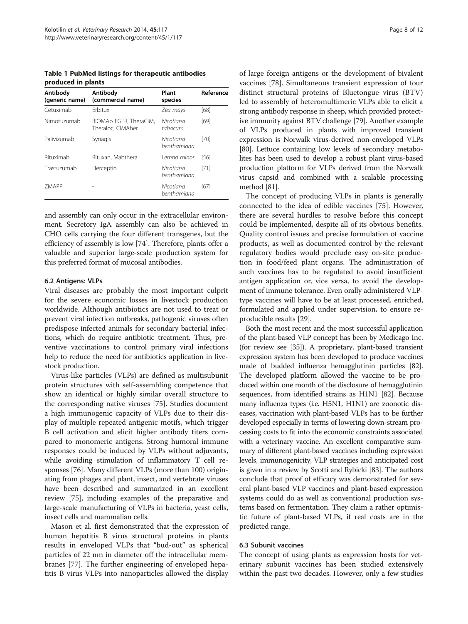<span id="page-7-0"></span>Table 1 PubMed listings for therapeutic antibodies produced in plants

| Antibody<br>(generic name) | Antibody<br>(commercial name)               | Plant<br>species         | Reference |
|----------------------------|---------------------------------------------|--------------------------|-----------|
| Cetuximab                  | Frbitux                                     | Zea mays                 | [68]      |
| Nimotuzumab                | BIOMAb EGFR, TheraCIM,<br>Theraloc, CIMAher | Nicotiana<br>tabacum     | [69]      |
| Palivizumab                | Synagis                                     | Nicotiana<br>benthamiana | [70]      |
| Rituximab                  | Rituxan, Mabthera                           | Lemna minor              | [56]      |
| Trastuzumab                | Herceptin                                   | Nicotiana<br>benthamiana | [71]      |
| <b>7MAPP</b>               |                                             | Nicotiana<br>benthamiana | [67]      |

and assembly can only occur in the extracellular environment. Secretory IgA assembly can also be achieved in CHO cells carrying the four different transgenes, but the efficiency of assembly is low [[74](#page-11-0)]. Therefore, plants offer a valuable and superior large-scale production system for this preferred format of mucosal antibodies.

#### 6.2 Antigens: VLPs

Viral diseases are probably the most important culprit for the severe economic losses in livestock production worldwide. Although antibiotics are not used to treat or prevent viral infection outbreaks, pathogenic viruses often predispose infected animals for secondary bacterial infections, which do require antibiotic treatment. Thus, preventive vaccinations to control primary viral infections help to reduce the need for antibiotics application in livestock production.

Virus-like particles (VLPs) are defined as multisubunit protein structures with self-assembling competence that show an identical or highly similar overall structure to the corresponding native viruses [[75\]](#page-11-0). Studies document a high immunogenic capacity of VLPs due to their display of multiple repeated antigenic motifs, which trigger B cell activation and elicit higher antibody titers compared to monomeric antigens. Strong humoral immune responses could be induced by VLPs without adjuvants, while avoiding stimulation of inflammatory T cell responses [\[76\]](#page-11-0). Many different VLPs (more than 100) originating from phages and plant, insect, and vertebrate viruses have been described and summarized in an excellent review [[75](#page-11-0)], including examples of the preparative and large-scale manufacturing of VLPs in bacteria, yeast cells, insect cells and mammalian cells.

Mason et al. first demonstrated that the expression of human hepatitis B virus structural proteins in plants results in enveloped VLPs that "bud-out" as spherical particles of 22 nm in diameter off the intracellular membranes [\[77\]](#page-11-0). The further engineering of enveloped hepatitis B virus VLPs into nanoparticles allowed the display of large foreign antigens or the development of bivalent vaccines [\[78](#page-11-0)]. Simultaneous transient expression of four distinct structural proteins of Bluetongue virus (BTV) led to assembly of heteromultimeric VLPs able to elicit a strong antibody response in sheep, which provided protective immunity against BTV challenge [[79](#page-11-0)]. Another example of VLPs produced in plants with improved transient expression is Norwalk virus-derived non-enveloped VLPs [[80](#page-11-0)]. Lettuce containing low levels of secondary metabolites has been used to develop a robust plant virus-based production platform for VLPs derived from the Norwalk virus capsid and combined with a scalable processing method [\[81](#page-11-0)].

The concept of producing VLPs in plants is generally connected to the idea of edible vaccines [\[75](#page-11-0)]. However, there are several hurdles to resolve before this concept could be implemented, despite all of its obvious benefits. Quality control issues and precise formulation of vaccine products, as well as documented control by the relevant regulatory bodies would preclude easy on-site production in food/feed plant organs. The administration of such vaccines has to be regulated to avoid insufficient antigen application or, vice versa, to avoid the development of immune tolerance. Even orally administered VLPtype vaccines will have to be at least processed, enriched, formulated and applied under supervision, to ensure reproducible results [[29\]](#page-10-0).

Both the most recent and the most successful application of the plant-based VLP concept has been by Medicago Inc. (for review see [\[35\]](#page-10-0)). A proprietary, plant-based transient expression system has been developed to produce vaccines made of budded influenza hemagglutinin particles [\[82](#page-11-0)]. The developed platform allowed the vaccine to be produced within one month of the disclosure of hemagglutinin sequences, from identified strains as H1N1 [\[82\]](#page-11-0). Because many influenza types (i.e. H5N1, H1N1) are zoonotic diseases, vaccination with plant-based VLPs has to be further developed especially in terms of lowering down-stream processing costs to fit into the economic constraints associated with a veterinary vaccine. An excellent comparative summary of different plant-based vaccines including expression levels, immunogenicity, VLP strategies and anticipated cost is given in a review by Scotti and Rybicki [\[83](#page-11-0)]. The authors conclude that proof of efficacy was demonstrated for several plant-based VLP vaccines and plant-based expression systems could do as well as conventional production systems based on fermentation. They claim a rather optimistic future of plant-based VLPs, if real costs are in the predicted range.

#### 6.3 Subunit vaccines

The concept of using plants as expression hosts for veterinary subunit vaccines has been studied extensively within the past two decades. However, only a few studies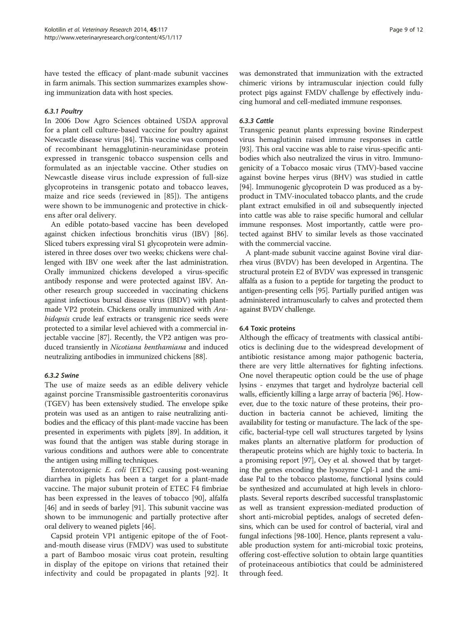have tested the efficacy of plant-made subunit vaccines in farm animals. This section summarizes examples showing immunization data with host species.

#### 6.3.1 Poultry

In 2006 Dow Agro Sciences obtained USDA approval for a plant cell culture-based vaccine for poultry against Newcastle disease virus [[84\]](#page-11-0). This vaccine was composed of recombinant hemagglutinin-neuraminidase protein expressed in transgenic tobacco suspension cells and formulated as an injectable vaccine. Other studies on Newcastle disease virus include expression of full-size glycoproteins in transgenic potato and tobacco leaves, maize and rice seeds (reviewed in [[85\]](#page-11-0)). The antigens were shown to be immunogenic and protective in chickens after oral delivery.

An edible potato-based vaccine has been developed against chicken infectious bronchitis virus (IBV) [[86](#page-11-0)]. Sliced tubers expressing viral S1 glycoprotein were administered in three doses over two weeks; chickens were challenged with IBV one week after the last administration. Orally immunized chickens developed a virus-specific antibody response and were protected against IBV. Another research group succeeded in vaccinating chickens against infectious bursal disease virus (IBDV) with plantmade VP2 protein. Chickens orally immunized with Arabidopsis crude leaf extracts or transgenic rice seeds were protected to a similar level achieved with a commercial injectable vaccine [[87\]](#page-11-0). Recently, the VP2 antigen was produced transiently in Nicotiana benthamiana and induced neutralizing antibodies in immunized chickens [[88](#page-11-0)].

#### 6.3.2 Swine

The use of maize seeds as an edible delivery vehicle against porcine Transmissible gastroenteritis coronavirus (TGEV) has been extensively studied. The envelope spike protein was used as an antigen to raise neutralizing antibodies and the efficacy of this plant-made vaccine has been presented in experiments with piglets [\[89\]](#page-11-0). In addition, it was found that the antigen was stable during storage in various conditions and authors were able to concentrate the antigen using milling techniques.

Enterotoxigenic E. coli (ETEC) causing post-weaning diarrhea in piglets has been a target for a plant-made vaccine. The major subunit protein of ETEC F4 fimbriae has been expressed in the leaves of tobacco [[90](#page-11-0)], alfalfa [[46](#page-10-0)] and in seeds of barley [[91](#page-11-0)]. This subunit vaccine was shown to be immunogenic and partially protective after oral delivery to weaned piglets [\[46](#page-10-0)].

Capsid protein VP1 antigenic epitope of the of Footand-mouth disease virus (FMDV) was used to substitute a part of Bamboo mosaic virus coat protein, resulting in display of the epitope on virions that retained their infectivity and could be propagated in plants [[92\]](#page-11-0). It was demonstrated that immunization with the extracted chimeric virions by intramuscular injection could fully protect pigs against FMDV challenge by effectively inducing humoral and cell-mediated immune responses.

#### 6.3.3 Cattle

Transgenic peanut plants expressing bovine Rinderpest virus hemaglutinin raised immune responses in cattle [[93](#page-11-0)]. This oral vaccine was able to raise virus-specific antibodies which also neutralized the virus in vitro. Immunogenicity of a Tobacco mosaic virus (TMV)-based vaccine against bovine herpes virus (BHV) was studied in cattle [[94](#page-11-0)]. Immunogenic glycoprotein D was produced as a byproduct in TMV-inoculated tobacco plants, and the crude plant extract emulsified in oil and subsequently injected into cattle was able to raise specific humoral and cellular immune responses. Most importantly, cattle were protected against BHV to similar levels as those vaccinated with the commercial vaccine.

A plant-made subunit vaccine against Bovine viral diarrhea virus (BVDV) has been developed in Argentina. The structural protein E2 of BVDV was expressed in transgenic alfalfa as a fusion to a peptide for targeting the product to antigen-presenting cells [[95](#page-11-0)]. Partially purified antigen was administered intramuscularly to calves and protected them against BVDV challenge.

#### 6.4 Toxic proteins

Although the efficacy of treatments with classical antibiotics is declining due to the widespread development of antibiotic resistance among major pathogenic bacteria, there are very little alternatives for fighting infections. One novel therapeutic option could be the use of phage lysins - enzymes that target and hydrolyze bacterial cell walls, efficiently killing a large array of bacteria [\[96\]](#page-11-0). However, due to the toxic nature of these proteins, their production in bacteria cannot be achieved, limiting the availability for testing or manufacture. The lack of the specific, bacterial-type cell wall structures targeted by lysins makes plants an alternative platform for production of therapeutic proteins which are highly toxic to bacteria. In a promising report [\[97\]](#page-11-0), Oey et al. showed that by targeting the genes encoding the lysozyme Cpl-1 and the amidase Pal to the tobacco plastome, functional lysins could be synthesized and accumulated at high levels in chloroplasts. Several reports described successful transplastomic as well as transient expression-mediated production of short anti-microbial peptides, analogs of secreted defensins, which can be used for control of bacterial, viral and fungal infections [\[98](#page-11-0)-[100](#page-11-0)]. Hence, plants represent a valuable production system for anti-microbial toxic proteins, offering cost-effective solution to obtain large quantities of proteinaceous antibiotics that could be administered through feed.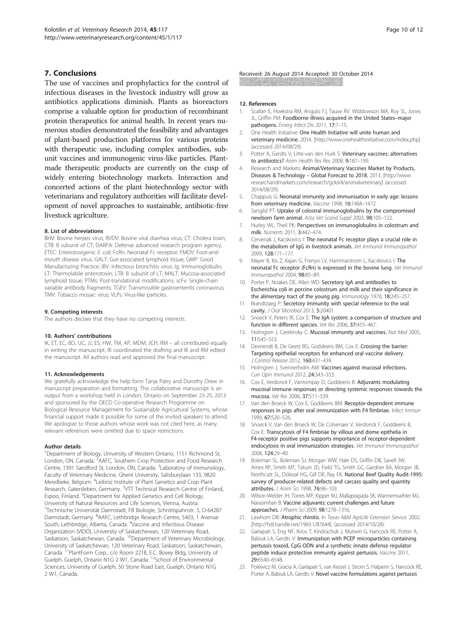#### <span id="page-9-0"></span>7. Conclusions

The use of vaccines and prophylactics for the control of infectious diseases in the livestock industry will grow as antibiotics applications diminish. Plants as bioreactors comprise a valuable option for production of recombinant protein therapeutics for animal health. In recent years numerous studies demonstrated the feasibility and advantages of plant-based production platforms for various proteins with therapeutic use, including complex antibodies, subunit vaccines and immunogenic virus-like particles. Plantmade therapeutic products are currently on the cusp of widely entering biotechnology markets. Interaction and concerted actions of the plant biotechnology sector with veterinarians and regulatory authorities will facilitate development of novel approaches to sustainable, antibiotic-free livestock agriculture.

#### 8. List of abbreviations

BHV: Bovine herpes virus; BVDV: Bovine viral diarrhea virus; CT: Cholera toxin; CTB: B subunit of CT; DARPA: Defense advanced research program agency; ETEC: Enterotoxigenic E. coli; FcRn: Neonatal Fc receptor; FMDV: Foot-andmouth disease virus; GALT: Gut-associated lymphoid tissue; GMP: Good Manufacturing Practice; IBV: Infectious bronchitis virus; Ig: Immunoglobulin; LT: Thermolabile enterotoxin; LTB: B subunit of LT; MALT: Mucosa-associated lymphoid tissue; PTMs: Post-translational modifications; scFv: Single-chain variable antibody fragments; TGEV: Transmissible gastroenteritis coronavirus; TMV: Tobacco mosaic virus; VLPs: Virus-like particles.

#### 9. Competing interests

The authors declare that they have no competing interests.

#### 10. Authors' contributions

IK, ET, EC, BD, UC, JJ, ES, HW, TM, AP, MDM, JCH, RM – all contributed equally in writing the manuscript. IK coordinated the drafting and IK and RM edited the manuscript. All authors read and approved the final manuscript.

#### 11. Acknowledgements

We gratefully acknowledge the help form Tanja Patry and Dorothy Drew in manuscript preparation and formatting. This collaborative manuscript is an output from a workshop held in London, Ontario on September 23-25, 2013 and sponsored by the OECD Co-operative Research Programme on Biological Resource Management for Sustainable Agricultural Systems, whose financial support made it possible for some of the invited speakers to attend. We apologize to those authors whose work was not cited here, as many relevant references were omitted due to space restrictions.

#### Author details

<sup>1</sup>Department of Biology, University of Western Ontario, 1151 Richmond St, London, ON, Canada. <sup>2</sup>AAFC, Southern Crop Protection and Food Research Centre, 1391 Sandford St, London, ON, Canada. <sup>3</sup>Laboratory of Immunology, Faculty of Veterinary Medicine, Ghent University, Salisburylaan 133, 9820 Merelbeke, Belgium. <sup>4</sup>Leibniz Institute of Plant Genetics and Crop Plant Research, Gatersleben, Germany. <sup>5</sup>VTT Technical Research Centre of Finland, Espoo, Finland. <sup>6</sup>Department for Applied Genetics and Cell Biology, University of Natural Resources and Life Sciences, Vienna, Austria. 7 Technische Universität Darmstadt, FB Biologie, Schnittspahnstr. 5, D-64287 Darmstadt, Germany. <sup>8</sup>AAFC, Lethbridge Research Centre, 5403, 1 Avenue South, Lethbridge, Alberta, Canada. <sup>9</sup>Vaccine and Infectious Disease Organization (VIDO), University of Saskatchewan, 120 Veterinary Road,<br>Saskatoon, Saskatchewan, Canada. <sup>10</sup>Department of Veterinary Microbiology, University of Saskatchewan, 120 Veterinary Road, Saskatoon, Saskatchewan,<br>Canada. <sup>11</sup>PlantForm Corp., c/o Room 2218, E.C. Bovey Bldg, University of Guelph, Guelph, Ontario N1G 2 W1, Canada. <sup>12</sup>School of Environmental Sciences, University of Guelph, 50 Stone Road East, Guelph, Ontario N1G 2 W1, Canada.

## Received: 26 August 2014 Accepted: 30 October 2014

#### 12. References

- 1. Scallan E, Hoekstra RM, Angulo FJ, Tauxe RV, Widdowson MA, Roy SL, Jones JL, Griffin PM: Foodborne illness acquired in the United States–major pathogens. Emerg Infect Dis 2011, 17:7–15.
- 2. One Health Initiative: One Health Initiative will unite human and veterinary medicine. 2014. [\[http://www.onehealthinitiative.com/index.php](http://www.onehealthinitiative.com/index.php)] (accessed 2014/08/29).
- 3. Potter A, Gerdts V, Litte-van den Hurk S: Veterinary vaccines: alternatives to antibiotics? Anim Health Res Rev 2008, 9:187–199.
- Research and Markets: Animal/Veterinary Vaccines Market by Products, Diseases & Technology – Global Forecast to 2018. 2013. [[http://www.](http://www.researchandmarkets.com/research/gcksr4/animalveterinary) [researchandmarkets.com/research/gcksr4/animalveterinary](http://www.researchandmarkets.com/research/gcksr4/animalveterinary)] (accessed 2014/08/29).
- 5. Chappuis G: Neonatal immunity and immunisation in early age: lessons from veterinary medicine. Vaccine 1998, 16:1468–1472.
- 6. Sangild PT: Uptake of colostral immunoglobulins by the compromised newborn farm animal. Acta Vet Scand Suppl 2003, 98:105–122.
- 7. Hurley WL, Theil PK: Perspectives on immunoglobulins in colostrum and milk. Nutrients 2011, 3:442–474.
- 8. Cervenak J, Kacskovics I: The neonatal Fc receptor plays a crucial role in the metabolism of IgG in livestock animals. Vet Immunol Immunopathol 2009, 128:171–177.
- 9. Mayer B, Kis Z, Kajan G, Frenyo LV, Hammarstrom L, Kacskovics I: The neonatal Fc receptor (FcRn) is expressed in the bovine lung. Vet Immunol Immunopathol 2004, 98:85–89.
- 10. Porter P, Noakes DE, Allen WD: Secretory IgA and antibodies to Escherichia coli in porcine colostrum and milk and their significance in the alimentary tract of the young pig. Immunology 1970, 18:245–257.
- 11. Brandtzaeg P: Secretory immunity with special reference to the oral cavity. J Oral Microbiol 2013, 5:20401.
- 12. Snoeck V, Peters IR, Cox E: The IgA system: a comparison of structure and function in different species. Vet Res 2006, 37:455–467.
- 13. Holmgren J, Czerkinsky C: Mucosal immunity and vaccines. Nat Med 2005, 11:S45–S53.
- 14. Devriendt B, De Geest BG, Goddeeris BM, Cox E: Crossing the barrier: Targeting epithelial receptors for enhanced oral vaccine delivery. J Control Release 2012, 160:431–439.
- 15. Holmgren J, Svennerholm AM: Vaccines against mucosal infections. Curr Opin Immunol 2012, 24:343–353.
- 16. Cox E, Verdonck F, Vanrompay D, Goddeeris B: Adjuvants modulating mucosal immune responses or directing systemic responses towards the mucosa. Vet Res 2006, 37:511–539.
- 17. Van den Broeck W, Cox E, Goddeeris BM: Receptor-dependent immune responses in pigs after oral immunization with F4 fimbriae. Infect Immun 1999, 67:520–526.
- 18. Snoeck V, Van den Broeck W, De Colvenaer V, Verdonck F, Goddeeris B, Cox E: Transcytosis of F4 fimbriae by villous and dome epithelia in F4-receptor positive pigs supports importance of receptor-dependent endocytosis in oral immunization strategies. Vet Immunol Immunopathol 2008, 124:29–40.
- 19. Boleman SL, Boleman SJ, Morgan WW, Hale DS, Griffin DB, Savell JW, Ames RP, Smith MT, Tatum JD, Field TG, Smith GC, Gardner BA, Morgan JB, Northcutt SL, Dolezal HG, Gill DR, Ray FK: National Beef Quality Audit-1995: survey of producer-related defects and carcass quality and quantity attributes. J Anim Sci 1998, 76:96–103.
- 20. Wilson-Welder JH, Torres MP, Kipper MJ, Mallapragada SK, Wannemuehler MJ, Narasimhan B: Vaccine adjuvants: current challenges and future approaches. J Pharm Sci 2009, 98:1278–1316.
- 21. Lawhorn DB: Atrophic rhinitis. In Texas A&M AgriLife Extension Service. 2002. [<http://hdl.handle.net/1969.1/87644>]. (accessed 2014/10/28).
- 22. Garlapati S, Eng NF, Kiros T, Kindrachuk J, Mutwiri G, Hancock RE, Potter A, Babiuk LA, Gerdts V: Immunization with PCEP microparticles containing pertussis toxoid, CpG ODN and a synthetic innate defense regulator peptide induce protective immunity against pertussis. Vaccine 2011, 29:6540–6548.
- 23. Polewicz M, Gracia A, Garlapati S, van Kessel J, Strom S, Halperin S, Hancock RE, Potter A, Babiuk LA, Gerdts V: Novel vaccine formulations against pertussis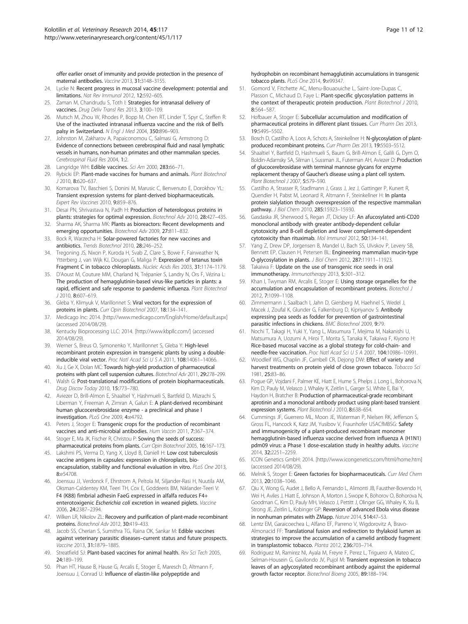<span id="page-10-0"></span>offer earlier onset of immunity and provide protection in the presence of maternal antibodies. Vaccine 2013, 31:3148–3155.

- 24. Lycke N: Recent progress in mucosal vaccine development: potential and limitations. Nat Rev Immunol 2012, 12:592–605.
- 25. Zaman M, Chandrudu S, Toth I: Strategies for intranasal delivery of vaccines. Drug Deliv Transl Res 2013, 3:100-109.
- 26. Mutsch M, Zhou W, Rhodes P, Bopp M, Chen RT, Linder T, Spyr C, Steffen R: Use of the inactivated intranasal influenza vaccine and the risk of Bell's palsy in Switzerland. N Engl J Med 2004, 350:896–903.
- 27. Johnston M, Zakharov A, Papaiconomou C, Salmasi G, Armstrong D: Evidence of connections between cerebrospinal fluid and nasal lymphatic vessels in humans, non-human primates and other mammalian species. Cerebrospinal Fluid Res 2004, 1:2.
- 28. Langridge WH: Edible vaccines. Sci Am 2000, 283:66-71.
- 29. Rybicki EP: Plant-made vaccines for humans and animals. Plant Biotechnol J 2010, 8:620–637.
- 30. Komarova TV, Baschieri S, Donini M, Marusic C, Benvenuto E, Dorokhov YL: Transient expression systems for plant-derived biopharmaceuticals. Expert Rev Vaccines 2010, 9:859–876.
- 31. Desai PN, Shrivastava N, Padh H: Production of heterologous proteins in plants: strategies for optimal expression. Biotechnol Adv 2010, 28:427–435.
- 32. Sharma AK, Sharma MK: Plants as bioreactors: Recent developments and emerging opportunities. Biotechnol Adv 2009, 27:811–832.
- 33. Bock R, Warzecha H: Solar-powered factories for new vaccines and antibiotics. Trends Biotechnol 2010, 28:246–252.
- 34. Tregoning JS, Nixon P, Kuroda H, Svab Z, Clare S, Bowe F, Fairweather N, Ytterberg J, van Wijk KJ, Dougan G, Maliga P: Expression of tetanus toxin Fragment C in tobacco chloroplasts. Nucleic Acids Res 2003, 31:1174–1179.
- 35. D'Aoust M, Couture MM, Charland N, Trépanier S, Landry N, Ors F, Vézina L: The production of hemagglutinin-based virus-like particles in plants: a rapid, efficient and safe response to pandemic influenza. Plant Biotechnol J 2010, 8:607–619.
- 36. Gleba Y, Klimyuk V, Marillonnet S: Viral vectors for the expression of proteins in plants. Curr Opin Biotechnol 2007, 18:134-141.
- 37. Medicago Inc: 2014. [[http://www.medicago.com/English/Home/default.aspx\]](http://www.medicago.com/English/Home/default.aspx) (accessed 2014/08/29).
- 38. Kentucky Bioprocessing LLC: 2014. [<http://www.kbpllc.com/>] (accessed 2014/08/29).
- 39. Werner S, Breus O, Symonenko Y, Marillonnet S, Gleba Y: High-level recombinant protein expression in transgenic plants by using a doubleinducible viral vector. Proc Natl Acad Sci U S A 2011, 108:14061–14066.
- 40. Xu J, Ge X, Dolan MC: Towards high-yield production of pharmaceutical proteins with plant cell suspension cultures. Biotechnol Adv 2011, 29:278–299.
- 41. Walsh G: Post-translational modifications of protein biopharmaceuticals. Drug Discov Today 2010, 15:773–780.
- 42. Aviezer D, Brill-Almon E, Shaaltiel Y, Hashmueli S, Bartfeld D, Mizrachi S, Liberman Y, Freeman A, Zimran A, Galun E: A plant-derived recombinant human glucocerebrosidase enzyme - a preclinical and phase I investigation. PLoS One 2009, 4:e4792.
- 43. Peters J, Stoger E: Transgenic crops for the production of recombinant vaccines and anti-microbial antibodies. Hum Vaccin 2011, 7:367-374.
- 44. Stoger E, Ma JK, Fischer R, Christou P: Sowing the seeds of success: pharmaceutical proteins from plants. Curr Opin Biotechnol 2005, 16:167-173.
- 45. Lakshmi PS, Verma D, Yang X, Lloyd B, Daniell H: Low cost tuberculosis vaccine antigens in capsules: expression in chloroplasts, bioencapsulation, stability and functional evaluation in vitro. PLoS One 2013, 8:e54708.
- 46. Joensuu JJ, Verdonck F, Ehrstrom A, Peltola M, Siljander-Rasi H, Nuutila AM, Oksman-Caldentey KM, Teeri TH, Cox E, Goddeeris BM, Niklander-Teeri V: F4 (K88) fimbrial adhesin FaeG expressed in alfalfa reduces F4+ enterotoxigenic Escherichia coli excretion in weaned piglets. Vaccine 2006, 24:2387–2394.
- 47. Wilken LR, Nikolov ZL: Recovery and purification of plant-made recombinant proteins. Biotechnol Adv 2012, 30:419–433.
- 48. Jacob SS, Cherian S, Sumithra TG, Raina OK, Sankar M: Edible vaccines against veterinary parasitic diseases–current status and future prospects. Vaccine 2013, 31:1879–1885.
- 49. Streatfield SJ: Plant-based vaccines for animal health. Rev Sci Tech 2005, 24:189–199.
- 50. Phan HT, Hause B, Hause G, Arcalis E, Stoger E, Maresch D, Altmann F, Joensuu J, Conrad U: Influence of elastin-like polypeptide and

hydrophobin on recombinant hemagglutinin accumulations in transgenic tobacco plants. PLoS One 2014, 9:e99347.

- 51. Gomord V, Fitchette AC, Menu-Bouaouiche L, Saint-Jore-Dupas C, Plasson C, Michaud D, Faye L: Plant-specific glycosylation patterns in the context of therapeutic protein production. Plant Biotechnol J 2010, 8:564–587.
- 52. Hofbauer A, Stoger E: Subcellular accumulation and modification of pharmaceutical proteins in different plant tissues. Curr Pharm Des 2013, 19:5495–5502.
- 53. Bosch D, Castilho A, Loos A, Schots A, Steinkellner H: N-glycosylation of plantproduced recombinant proteins. Curr Pharm Des 2013, 19:5503–5512.
- 54. Shaaltiel Y, Bartfeld D, Hashmueli S, Baum G, Brill-Almon E, Galili G, Dym O, Boldin-Adamsky SA, Silman I, Sussman JL, Futerman AH, Aviezer D: Production of glucocerebrosidase with terminal mannose glycans for enzyme replacement therapy of Gaucher's disease using a plant cell system. Plant Biotechnol J 2007, 5:579–590.
- 55. Castilho A, Strasser R, Stadlmann J, Grass J, Jez J, Gattinger P, Kunert R, Quendler H, Pabst M, Leonard R, Altmann F, Steinkellner H: In planta protein sialylation through overexpression of the respective mammalian pathway. J Biol Chem 2010, 285:15923–15930.
- 56. Gasdaska JR, Sherwood S, Regan JT, Dickey LF: An afucosylated anti-CD20 monoclonal antibody with greater antibody-dependent cellular cytotoxicity and B-cell depletion and lower complement-dependent cytotoxicity than rituximab. Mol Immunol 2012, 50:134–141.
- Yang Z, Drew DP, Jorgensen B, Mandel U, Bach SS, Ulvskov P, Levery SB, Bennett EP, Clausen H, Petersen BL: Engineering mammalian mucin-type O-glycosylation in plants. J Biol Chem 2012, 287:11911–11923.
- 58. Takaiwa F: Update on the use of transgenic rice seeds in oral immunotherapy. Immunotherapy 2013, 5:301–312.
- 59. Khan I, Twyman RM, Arcalis E, Stoger E: Using storage organelles for the accumulation and encapsulation of recombinant proteins. Biotechol J 2012, 7:1099–1108.
- 60. Zimmermann J, Saalbach I, Jahn D, Giersberg M, Haehnel S, Wedel J, Macek J, Zoufal K, Glunder G, Falkenburg D, Kipriyanov S: Antibody expressing pea seeds as fodder for prevention of gastrointestinal parasitic infections in chickens. BMC Biotechnol 2009, 9:79.
- 61. Nochi T, Takagi H, Yuki Y, Yang L, Masumura T, Mejima M, Nakanishi U, Matsumura A, Uozumi A, Hiroi T, Morita S, Tanaka K, Takaiwa F, Kiyono H: Rice-based mucosal vaccine as a global strategy for cold-chain- and needle-free vaccination. Proc Natl Acad Sci U S A 2007, 104:10986–10991.
- 62. Woodleif WG, Chaplin JF, Cambell CR, Dejong DW: Effect of variety and harvest treatments on protein yield of close grown tobacco. Tobacco Sci 1981, 25:83–86.
- 63. Pogue GP, Vojdani F, Palmer KE, Hiatt E, Hume S, Phelps J, Long L, Bohorova N, Kim D, Pauly M, Velasco J, Whaley K, Zeitlin L, Garger SJ, White E, Bai Y, Haydon H, Bratcher B: Production of pharmaceutical-grade recombinant aprotinin and a monoclonal antibody product using plant-based transient expression systems. Plant Biotechnol J 2010, 8:638-654.
- 64. Cummings JF, Guerrero ML, Moon JE, Waterman P, Nielsen RK, Jefferson S, Gross FL, Hancock K, Katz JM, Yusibov V, Fraunhofer USACfMBSG: Safety and immunogenicity of a plant-produced recombinant monomer hemagglutinin-based influenza vaccine derived from influenza A (H1N1) pdm09 virus: a Phase 1 dose-escalation study in healthy adults. Vaccine 2014, 32:2251–2259.
- 65. ICON Genetics GmbH: 2014. [[http://www.icongenetics.com/html/home.htm\]](http://www.icongenetics.com/html/home.htm) (accessed 2014/08/29).
- 66. Melnik S, Stoger E: Green factories for biopharmaceuticals. Curr Med Chem 2013, 20:1038–1046.
- 67. Qiu X, Wong G, Audet J, Bello A, Fernando L, Alimonti JB, Fausther-Bovendo H, Wei H, Aviles J, Hiatt E, Johnson A, Morton J, Swope K, Bohorov O, Bohorova N, Goodman C, Kim D, Pauly MH, Velasco J, Pettitt J, Olinger GG, Whaley K, Xu B, Strong JE, Zeitlin L, Kobinger GP: Reversion of advanced Ebola virus disease in nonhuman primates with ZMapp. Nature 2014, 514:47–53.
- 68. Lentz EM, Garaicoechea L, Alfano EF, Parreno V, Wigdorovitz A, Bravo-Almonacid FF: Translational fusion and redirection to thylakoid lumen as strategies to improve the accumulation of a camelid antibody fragment in transplastomic tobacco. Planta 2012, 236:703–714.
- Rodriguez M, Ramirez NI, Ayala M, Freyre F, Perez L, Triguero A, Mateo C, Selman-Housein G, Gavilondo JV, Pujol M: Transient expression in tobacco leaves of an aglycosylated recombinant antibody against the epidermal growth factor receptor. Biotechnol Bioeng 2005, 89:188–194.